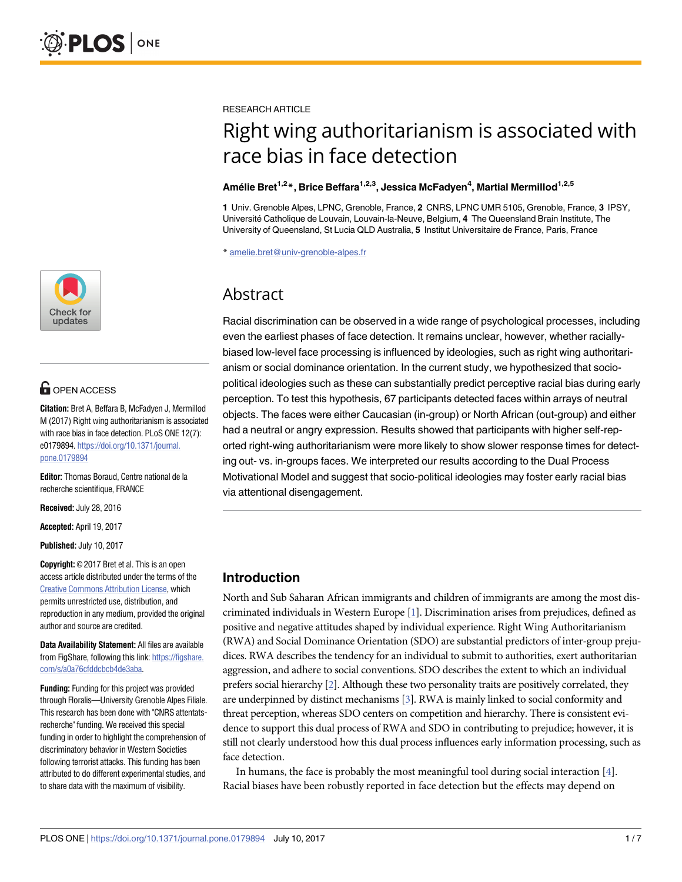

# **OPEN ACCESS**

**Citation:** Bret A, Beffara B, McFadyen J, Mermillod M (2017) Right wing authoritarianism is associated with race bias in face detection. PLoS ONE 12(7): e0179894. [https://doi.org/10.1371/journal.](https://doi.org/10.1371/journal.pone.0179894) [pone.0179894](https://doi.org/10.1371/journal.pone.0179894)

**Editor:** Thomas Boraud, Centre national de la recherche scientifique, FRANCE

**Received:** July 28, 2016

**Accepted:** April 19, 2017

**Published:** July 10, 2017

**Copyright:** © 2017 Bret et al. This is an open access article distributed under the terms of the Creative Commons [Attribution](http://creativecommons.org/licenses/by/4.0/) License, which permits unrestricted use, distribution, and reproduction in any medium, provided the original author and source are credited.

**Data Availability Statement:** All files are available from FigShare, following this link: [https://figshare.](https://figshare.com/s/a0a76cfddcbcb4de3aba) [com/s/a0a76cfddcbcb4de3aba](https://figshare.com/s/a0a76cfddcbcb4de3aba).

**Funding:** Funding for this project was provided through Floralis—University Grenoble Alpes Filiale. This research has been done with "CNRS attentatsrecherche" funding. We received this special funding in order to highlight the comprehension of discriminatory behavior in Western Societies following terrorist attacks. This funding has been attributed to do different experimental studies, and to share data with the maximum of visibility.

<span id="page-0-0"></span>RESEARCH ARTICLE

# Right wing authoritarianism is associated with race bias in face detection

## **Ame´lie Bret1,2\*, Brice Beffara1,2,3, Jessica McFadyen4 , Martial Mermillod1,2,5**

**1** Univ. Grenoble Alpes, LPNC, Grenoble, France, **2** CNRS, LPNC UMR 5105, Grenoble, France, **3** IPSY, Universite´ Catholique de Louvain, Louvain-la-Neuve, Belgium, **4** The Queensland Brain Institute, The University of Queensland, St Lucia QLD Australia, **5** Institut Universitaire de France, Paris, France

\* amelie.bret@univ-grenoble-alpes.fr

# Abstract

Racial discrimination can be observed in a wide range of psychological processes, including even the earliest phases of face detection. It remains unclear, however, whether raciallybiased low-level face processing is influenced by ideologies, such as right wing authoritarianism or social dominance orientation. In the current study, we hypothesized that sociopolitical ideologies such as these can substantially predict perceptive racial bias during early perception. To test this hypothesis, 67 participants detected faces within arrays of neutral objects. The faces were either Caucasian (in-group) or North African (out-group) and either had a neutral or angry expression. Results showed that participants with higher self-reported right-wing authoritarianism were more likely to show slower response times for detecting out- vs. in-groups faces. We interpreted our results according to the Dual Process Motivational Model and suggest that socio-political ideologies may foster early racial bias via attentional disengagement.

# **Introduction**

North and Sub Saharan African immigrants and children of immigrants are among the most discriminated individuals in Western Europe [\[1\]](#page-5-0). Discrimination arises from prejudices, defined as positive and negative attitudes shaped by individual experience. Right Wing Authoritarianism (RWA) and Social Dominance Orientation (SDO) are substantial predictors of inter-group prejudices. RWA describes the tendency for an individual to submit to authorities, exert authoritarian aggression, and adhere to social conventions. SDO describes the extent to which an individual prefers social hierarchy [\[2\]](#page-5-0). Although these two personality traits are positively correlated, they are underpinned by distinct mechanisms [[3\]](#page-5-0). RWA is mainly linked to social conformity and threat perception, whereas SDO centers on competition and hierarchy. There is consistent evidence to support this dual process of RWA and SDO in contributing to prejudice; however, it is still not clearly understood how this dual process influences early information processing, such as face detection.

In humans, the face is probably the most meaningful tool during social interaction [\[4\]](#page-5-0). Racial biases have been robustly reported in face detection but the effects may depend on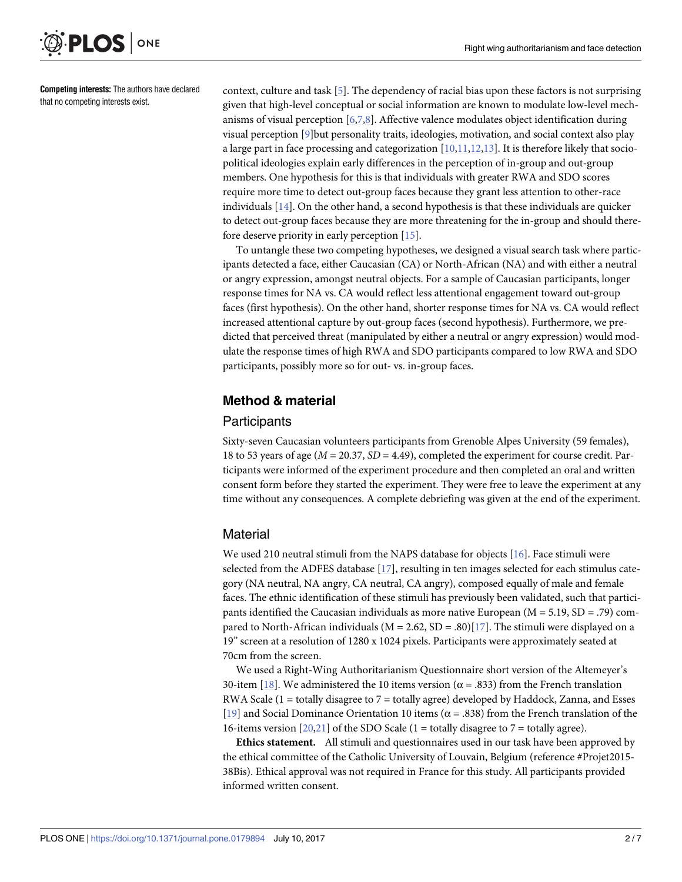<span id="page-1-0"></span>

**Competing interests:** The authors have declared that no competing interests exist.

context, culture and task [\[5](#page-5-0)]. The dependency of racial bias upon these factors is not surprising given that high-level conceptual or social information are known to modulate low-level mechanisms of visual perception [[6,7,8\]](#page-5-0). Affective valence modulates object identification during visual perception [[9](#page-5-0)]but personality traits, ideologies, motivation, and social context also play a large part in face processing and categorization  $[10,11,12,13]$  $[10,11,12,13]$  $[10,11,12,13]$  $[10,11,12,13]$ . It is therefore likely that sociopolitical ideologies explain early differences in the perception of in-group and out-group members. One hypothesis for this is that individuals with greater RWA and SDO scores require more time to detect out-group faces because they grant less attention to other-race individuals [[14](#page-5-0)]. On the other hand, a second hypothesis is that these individuals are quicker to detect out-group faces because they are more threatening for the in-group and should therefore deserve priority in early perception [\[15\]](#page-5-0).

To untangle these two competing hypotheses, we designed a visual search task where participants detected a face, either Caucasian (CA) or North-African (NA) and with either a neutral or angry expression, amongst neutral objects. For a sample of Caucasian participants, longer response times for NA vs. CA would reflect less attentional engagement toward out-group faces (first hypothesis). On the other hand, shorter response times for NA vs. CA would reflect increased attentional capture by out-group faces (second hypothesis). Furthermore, we predicted that perceived threat (manipulated by either a neutral or angry expression) would modulate the response times of high RWA and SDO participants compared to low RWA and SDO participants, possibly more so for out- vs. in-group faces.

## **Method & material**

#### **Participants**

Sixty-seven Caucasian volunteers participants from Grenoble Alpes University (59 females), 18 to 53 years of age (*M* = 20.37, *SD* = 4.49), completed the experiment for course credit. Participants were informed of the experiment procedure and then completed an oral and written consent form before they started the experiment. They were free to leave the experiment at any time without any consequences. A complete debriefing was given at the end of the experiment.

#### **Material**

We used 210 neutral stimuli from the NAPS database for objects [\[16\]](#page-6-0). Face stimuli were selected from the ADFES database [\[17\]](#page-6-0), resulting in ten images selected for each stimulus category (NA neutral, NA angry, CA neutral, CA angry), composed equally of male and female faces. The ethnic identification of these stimuli has previously been validated, such that participants identified the Caucasian individuals as more native European ( $M = 5.19$ ,  $SD = .79$ ) compared to North-African individuals ( $M = 2.62$ ,  $SD = .80$ )[\[17\]](#page-6-0). The stimuli were displayed on a 19" screen at a resolution of 1280 x 1024 pixels. Participants were approximately seated at 70cm from the screen.

We used a Right-Wing Authoritarianism Questionnaire short version of the Altemeyer's 30-item [[18](#page-6-0)]. We administered the 10 items version ( $\alpha$  = .833) from the French translation RWA Scale ( $1 =$  totally disagree to  $7 =$  totally agree) developed by Haddock, Zanna, and Esses [\[19\]](#page-6-0) and Social Dominance Orientation 10 items ( $\alpha$  = .838) from the French translation of the 16-items version  $[20,21]$  $[20,21]$  $[20,21]$  $[20,21]$  $[20,21]$  of the SDO Scale (1 = totally disagree to 7 = totally agree).

**Ethics statement.** All stimuli and questionnaires used in our task have been approved by the ethical committee of the Catholic University of Louvain, Belgium (reference #Projet2015- 38Bis). Ethical approval was not required in France for this study. All participants provided informed written consent.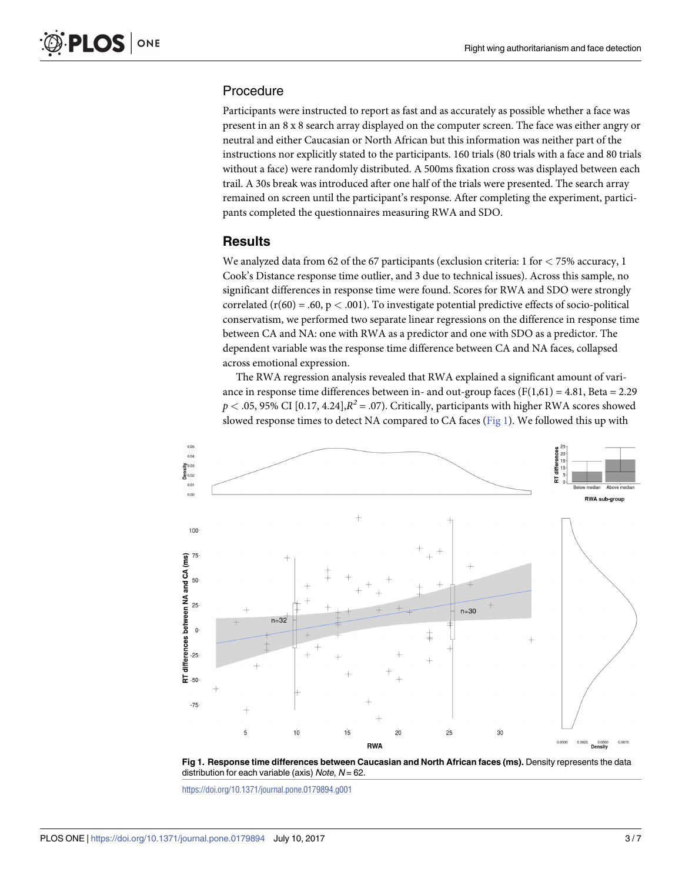## Procedure

Participants were instructed to report as fast and as accurately as possible whether a face was present in an 8 x 8 search array displayed on the computer screen. The face was either angry or neutral and either Caucasian or North African but this information was neither part of the instructions nor explicitly stated to the participants. 160 trials (80 trials with a face and 80 trials without a face) were randomly distributed. A 500ms fixation cross was displayed between each trail. A 30s break was introduced after one half of the trials were presented. The search array remained on screen until the participant's response. After completing the experiment, participants completed the questionnaires measuring RWA and SDO.

#### **Results**

We analyzed data from 62 of the 67 participants (exclusion criteria: 1 for *<* 75% accuracy, 1 Cook's Distance response time outlier, and 3 due to technical issues). Across this sample, no significant differences in response time were found. Scores for RWA and SDO were strongly correlated  $(r(60) = .60, p < .001)$ . To investigate potential predictive effects of socio-political conservatism, we performed two separate linear regressions on the difference in response time between CA and NA: one with RWA as a predictor and one with SDO as a predictor. The dependent variable was the response time difference between CA and NA faces, collapsed across emotional expression.

The RWA regression analysis revealed that RWA explained a significant amount of variance in response time differences between in- and out-group faces ( $F(1,61) = 4.81$ , Beta = 2.29  $p < .05, 95\%$  CI [0.17, 4.24], $R^2 = .07$ ). Critically, participants with higher RWA scores showed slowed response times to detect NA compared to CA faces (Fig 1). We followed this up with



**Fig 1. Response time differences between Caucasian and North African faces (ms).** Density represents the data distribution for each variable (axis) Note,  $N = 62$ .

<https://doi.org/10.1371/journal.pone.0179894.g001>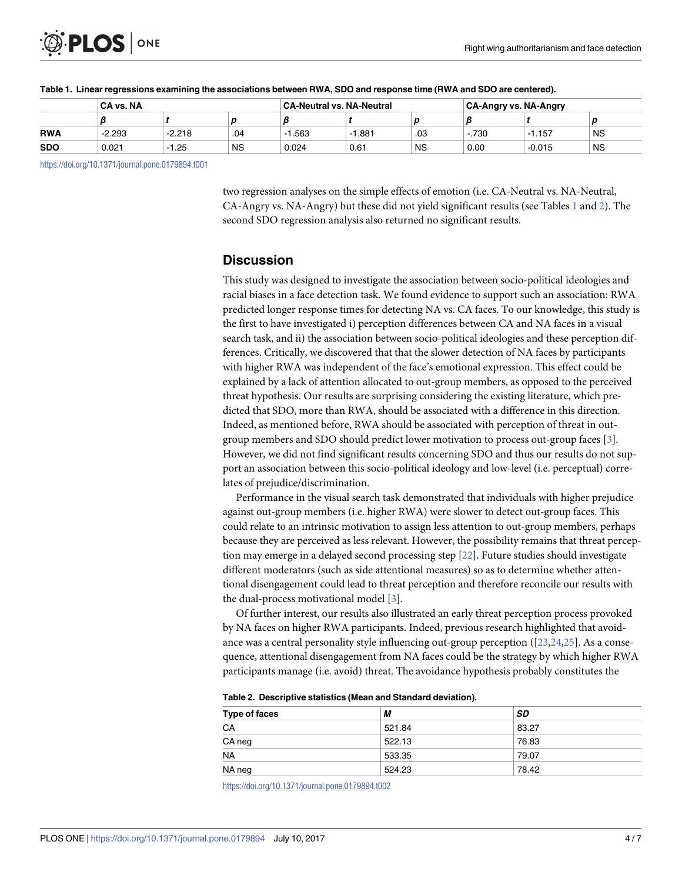<span id="page-3-0"></span>

|            | CA vs. NA |          |           | <b>CA-Neutral vs. NA-Neutral</b> |      |           | <b>CA-Angry vs. NA-Angry</b> |          |           |
|------------|-----------|----------|-----------|----------------------------------|------|-----------|------------------------------|----------|-----------|
|            |           |          |           |                                  |      | L         |                              |          |           |
| <b>RWA</b> | -2.293    | $-2.218$ | .04       | .563                             | .881 | .03       | $-.730$                      | $-1.157$ | <b>NS</b> |
| SDO        | 0.021     | $-1.25$  | <b>NS</b> | 0.024                            | 0.61 | <b>NS</b> | 0.00                         | $-0.015$ | <b>NS</b> |
|            |           |          |           |                                  |      |           |                              |          |           |

#### Table 1. Linear regressions examining the associations between RWA, SDO and response time (RWA and SDO are centered).

<https://doi.org/10.1371/journal.pone.0179894.t001>

two regression analyses on the simple effects of emotion (i.e. CA-Neutral vs. NA-Neutral, CA-Angry vs. NA-Angry) but these did not yield significant results (see Tables 1 and 2). The second SDO regression analysis also returned no significant results.

#### **Discussion**

This study was designed to investigate the association between socio-political ideologies and racial biases in a face detection task. We found evidence to support such an association: RWA predicted longer response times for detecting NA vs. CA faces. To our knowledge, this study is the first to have investigated i) perception differences between CA and NA faces in a visual search task, and ii) the association between socio-political ideologies and these perception differences. Critically, we discovered that that the slower detection of NA faces by participants with higher RWA was independent of the face's emotional expression. This effect could be explained by a lack of attention allocated to out-group members, as opposed to the perceived threat hypothesis. Our results are surprising considering the existing literature, which predicted that SDO, more than RWA, should be associated with a difference in this direction. Indeed, as mentioned before, RWA should be associated with perception of threat in outgroup members and SDO should predict lower motivation to process out-group faces [[3\]](#page-5-0). However, we did not find significant results concerning SDO and thus our results do not support an association between this socio-political ideology and low-level (i.e. perceptual) correlates of prejudice/discrimination.

Performance in the visual search task demonstrated that individuals with higher prejudice against out-group members (i.e. higher RWA) were slower to detect out-group faces. This could relate to an intrinsic motivation to assign less attention to out-group members, perhaps because they are perceived as less relevant. However, the possibility remains that threat perception may emerge in a delayed second processing step [\[22\]](#page-6-0). Future studies should investigate different moderators (such as side attentional measures) so as to determine whether attentional disengagement could lead to threat perception and therefore reconcile our results with the dual-process motivational model [\[3](#page-5-0)].

Of further interest, our results also illustrated an early threat perception process provoked by NA faces on higher RWA participants. Indeed, previous research highlighted that avoidance was a central personality style influencing out-group perception ([[23](#page-6-0),[24,25\]](#page-6-0). As a consequence, attentional disengagement from NA faces could be the strategy by which higher RWA participants manage (i.e. avoid) threat. The avoidance hypothesis probably constitutes the

| Table 2. Descriptive statistics (Mean and Standard deviation). |  |  |  |  |
|----------------------------------------------------------------|--|--|--|--|
|----------------------------------------------------------------|--|--|--|--|

| Type of faces | М      | SD    |  |
|---------------|--------|-------|--|
| CA            | 521.84 | 83.27 |  |
| CA neg        | 522.13 | 76.83 |  |
| <b>NA</b>     | 533.35 | 79.07 |  |
| NA neg        | 524.23 | 78.42 |  |

<https://doi.org/10.1371/journal.pone.0179894.t002>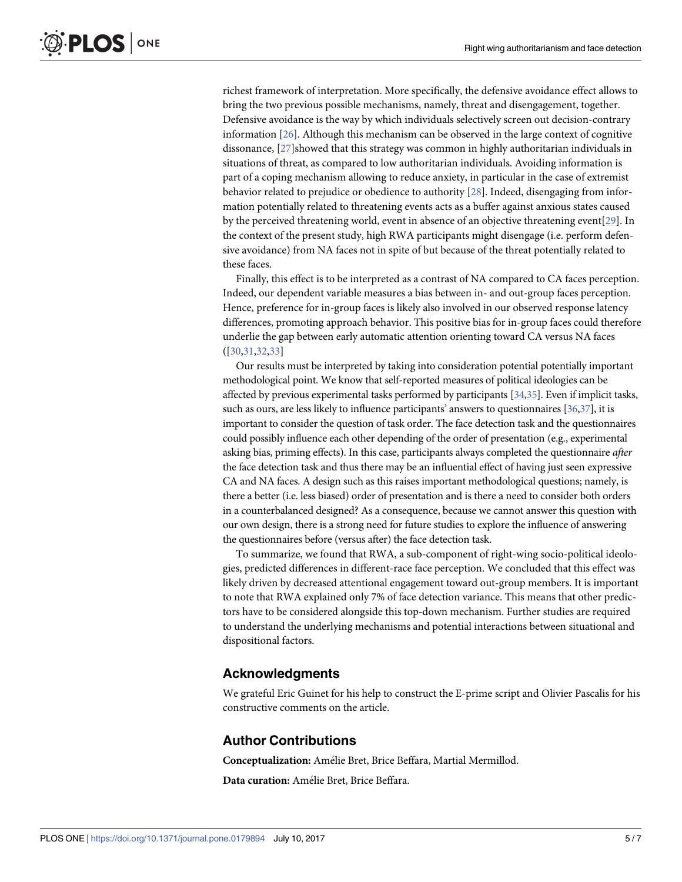<span id="page-4-0"></span>richest framework of interpretation. More specifically, the defensive avoidance effect allows to bring the two previous possible mechanisms, namely, threat and disengagement, together. Defensive avoidance is the way by which individuals selectively screen out decision-contrary information [\[26\]](#page-6-0). Although this mechanism can be observed in the large context of cognitive dissonance, [[27](#page-6-0)] showed that this strategy was common in highly authoritarian individuals in situations of threat, as compared to low authoritarian individuals. Avoiding information is part of a coping mechanism allowing to reduce anxiety, in particular in the case of extremist behavior related to prejudice or obedience to authority [[28](#page-6-0)]. Indeed, disengaging from information potentially related to threatening events acts as a buffer against anxious states caused by the perceived threatening world, event in absence of an objective threatening event[[29](#page-6-0)]. In the context of the present study, high RWA participants might disengage (i.e. perform defensive avoidance) from NA faces not in spite of but because of the threat potentially related to these faces.

Finally, this effect is to be interpreted as a contrast of NA compared to CA faces perception. Indeed, our dependent variable measures a bias between in- and out-group faces perception. Hence, preference for in-group faces is likely also involved in our observed response latency differences, promoting approach behavior. This positive bias for in-group faces could therefore underlie the gap between early automatic attention orienting toward CA versus NA faces ([[30](#page-6-0),[31,32,33\]](#page-6-0)

Our results must be interpreted by taking into consideration potential potentially important methodological point. We know that self-reported measures of political ideologies can be affected by previous experimental tasks performed by participants [\[34,35](#page-6-0)]. Even if implicit tasks, such as ours, are less likely to influence participants' answers to questionnaires [\[36,37](#page-6-0)], it is important to consider the question of task order. The face detection task and the questionnaires could possibly influence each other depending of the order of presentation (e.g., experimental asking bias, priming effects). In this case, participants always completed the questionnaire *after* the face detection task and thus there may be an influential effect of having just seen expressive CA and NA faces. A design such as this raises important methodological questions; namely, is there a better (i.e. less biased) order of presentation and is there a need to consider both orders in a counterbalanced designed? As a consequence, because we cannot answer this question with our own design, there is a strong need for future studies to explore the influence of answering the questionnaires before (versus after) the face detection task.

To summarize, we found that RWA, a sub-component of right-wing socio-political ideologies, predicted differences in different-race face perception. We concluded that this effect was likely driven by decreased attentional engagement toward out-group members. It is important to note that RWA explained only 7% of face detection variance. This means that other predictors have to be considered alongside this top-down mechanism. Further studies are required to understand the underlying mechanisms and potential interactions between situational and dispositional factors.

#### **Acknowledgments**

We grateful Eric Guinet for his help to construct the E-prime script and Olivier Pascalis for his constructive comments on the article.

#### **Author Contributions**

**Conceptualization:** Amélie Bret, Brice Beffara, Martial Mermillod.

**Data curation:** Amélie Bret, Brice Beffara.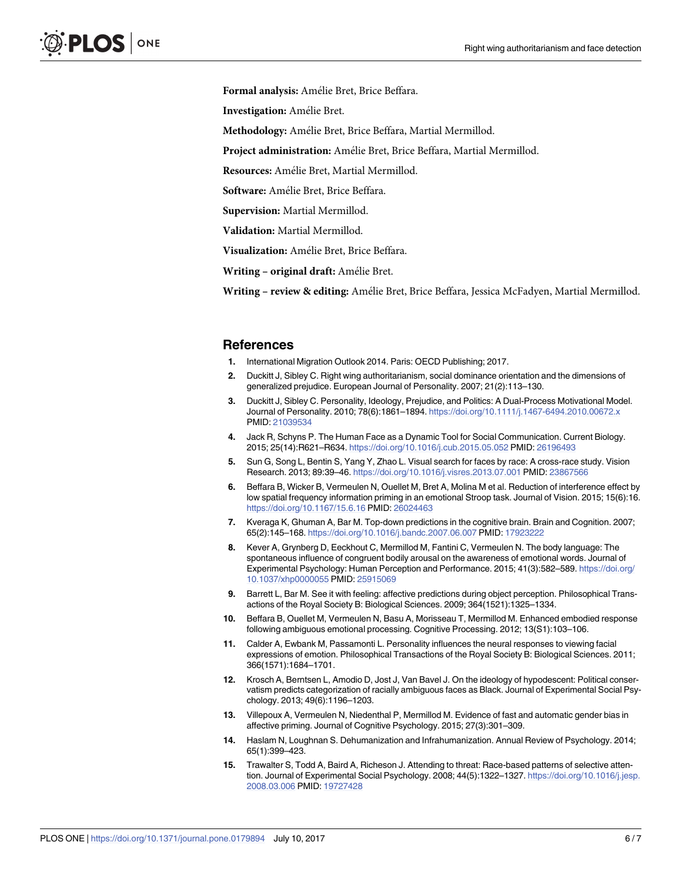<span id="page-5-0"></span>Formal analysis: Amélie Bret, Brice Beffara.

**Investigation:** Amélie Bret.

**Methodology:** Amélie Bret, Brice Beffara, Martial Mermillod.

Project administration: Amélie Bret, Brice Beffara, Martial Mermillod.

**Resources:** Amélie Bret, Martial Mermillod.

Software: Amélie Bret, Brice Beffara.

**Supervision:** Martial Mermillod.

**Validation:** Martial Mermillod.

Visualization: Amélie Bret, Brice Beffara.

**Writing – original draft:** Amélie Bret.

**Writing – review & editing:** Amélie Bret, Brice Beffara, Jessica McFadyen, Martial Mermillod.

#### **References**

- **[1](#page-0-0).** International Migration Outlook 2014. Paris: OECD Publishing; 2017.
- **[2](#page-0-0).** Duckitt J, Sibley C. Right wing authoritarianism, social dominance orientation and the dimensions of generalized prejudice. European Journal of Personality. 2007; 21(2):113–130.
- **[3](#page-0-0).** Duckitt J, Sibley C. Personality, Ideology, Prejudice, and Politics: A Dual-Process Motivational Model. Journal of Personality. 2010; 78(6):1861–1894. <https://doi.org/10.1111/j.1467-6494.2010.00672.x> PMID: [21039534](http://www.ncbi.nlm.nih.gov/pubmed/21039534)
- **[4](#page-0-0).** Jack R, Schyns P. The Human Face as a Dynamic Tool for Social Communication. Current Biology. 2015; 25(14):R621–R634. <https://doi.org/10.1016/j.cub.2015.05.052> PMID: [26196493](http://www.ncbi.nlm.nih.gov/pubmed/26196493)
- **[5](#page-1-0).** Sun G, Song L, Bentin S, Yang Y, Zhao L. Visual search for faces by race: A cross-race study. Vision Research. 2013; 89:39–46. <https://doi.org/10.1016/j.visres.2013.07.001> PMID: [23867566](http://www.ncbi.nlm.nih.gov/pubmed/23867566)
- **[6](#page-1-0).** Beffara B, Wicker B, Vermeulen N, Ouellet M, Bret A, Molina M et al. Reduction of interference effect by low spatial frequency information priming in an emotional Stroop task. Journal of Vision. 2015; 15(6):16. <https://doi.org/10.1167/15.6.16> PMID: [26024463](http://www.ncbi.nlm.nih.gov/pubmed/26024463)
- **[7](#page-1-0).** Kveraga K, Ghuman A, Bar M. Top-down predictions in the cognitive brain. Brain and Cognition. 2007; 65(2):145–168. <https://doi.org/10.1016/j.bandc.2007.06.007> PMID: [17923222](http://www.ncbi.nlm.nih.gov/pubmed/17923222)
- **[8](#page-1-0).** Kever A, Grynberg D, Eeckhout C, Mermillod M, Fantini C, Vermeulen N. The body language: The spontaneous influence of congruent bodily arousal on the awareness of emotional words. Journal of Experimental Psychology: Human Perception and Performance. 2015; 41(3):582–589. [https://doi.org/](https://doi.org/10.1037/xhp0000055) [10.1037/xhp0000055](https://doi.org/10.1037/xhp0000055) PMID: [25915069](http://www.ncbi.nlm.nih.gov/pubmed/25915069)
- **[9](#page-1-0).** Barrett L, Bar M. See it with feeling: affective predictions during object perception. Philosophical Transactions of the Royal Society B: Biological Sciences. 2009; 364(1521):1325–1334.
- **[10](#page-1-0).** Beffara B, Ouellet M, Vermeulen N, Basu A, Morisseau T, Mermillod M. Enhanced embodied response following ambiguous emotional processing. Cognitive Processing. 2012; 13(S1):103–106.
- **[11](#page-1-0).** Calder A, Ewbank M, Passamonti L. Personality influences the neural responses to viewing facial expressions of emotion. Philosophical Transactions of the Royal Society B: Biological Sciences. 2011; 366(1571):1684–1701.
- **[12](#page-1-0).** Krosch A, Berntsen L, Amodio D, Jost J, Van Bavel J. On the ideology of hypodescent: Political conservatism predicts categorization of racially ambiguous faces as Black. Journal of Experimental Social Psychology. 2013; 49(6):1196–1203.
- **[13](#page-1-0).** Villepoux A, Vermeulen N, Niedenthal P, Mermillod M. Evidence of fast and automatic gender bias in affective priming. Journal of Cognitive Psychology. 2015; 27(3):301–309.
- **[14](#page-1-0).** Haslam N, Loughnan S. Dehumanization and Infrahumanization. Annual Review of Psychology. 2014; 65(1):399–423.
- **[15](#page-1-0).** Trawalter S, Todd A, Baird A, Richeson J. Attending to threat: Race-based patterns of selective attention. Journal of Experimental Social Psychology. 2008; 44(5):1322–1327. [https://doi.org/10.1016/j.jesp.](https://doi.org/10.1016/j.jesp.2008.03.006) [2008.03.006](https://doi.org/10.1016/j.jesp.2008.03.006) PMID: [19727428](http://www.ncbi.nlm.nih.gov/pubmed/19727428)